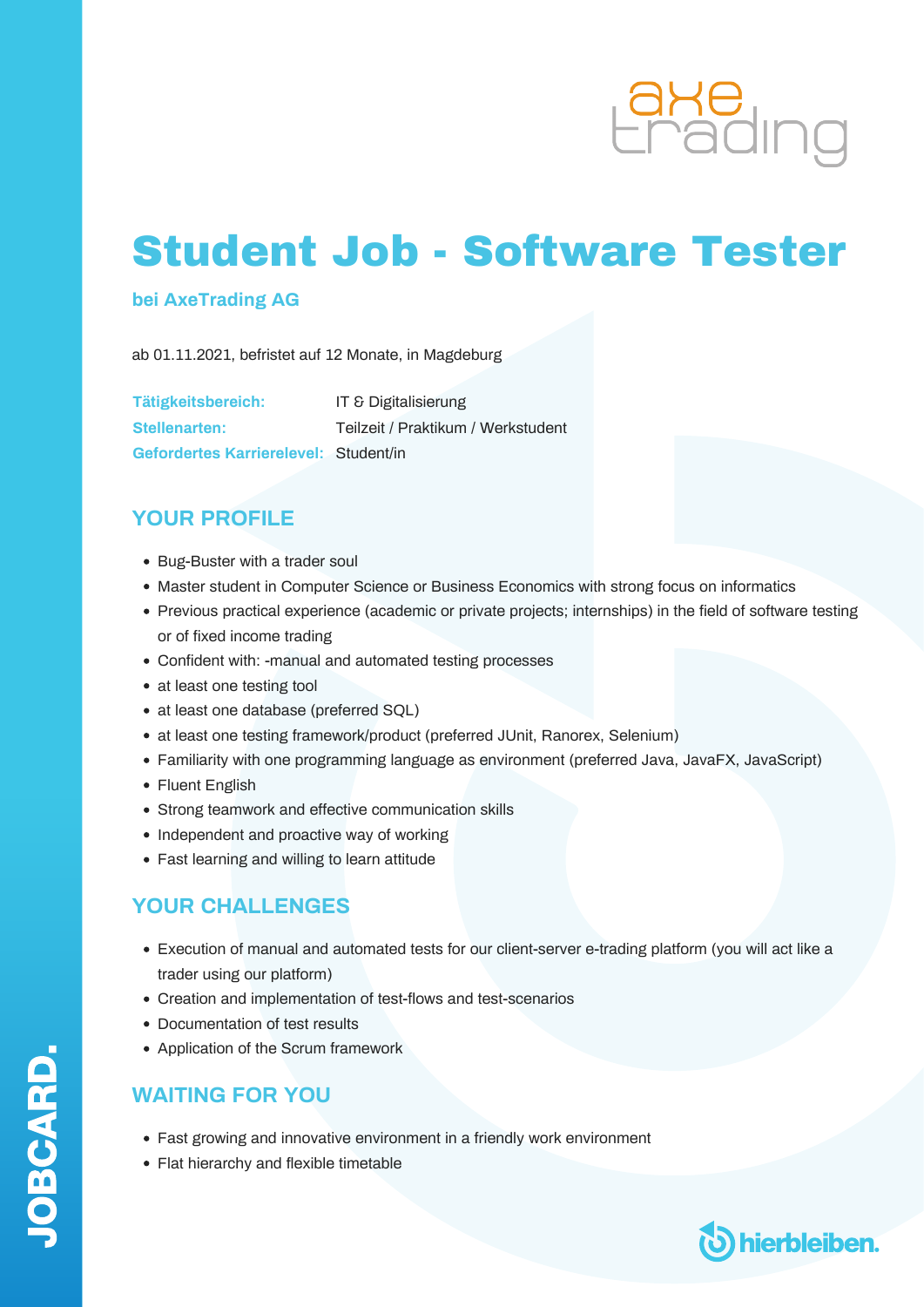

# Student Job - Software Tester

#### **bei AxeTrading AG**

ab 01.11.2021, befristet auf 12 Monate, in Magdeburg

| Tätigkeitsbereich:                    | <b>IT &amp; Digitalisierung</b>    |
|---------------------------------------|------------------------------------|
| Stellenarten:                         | Teilzeit / Praktikum / Werkstudent |
| Gefordertes Karrierelevel: Student/in |                                    |

### **YOUR PROFILE**

- Bug-Buster with a trader soul
- Master student in Computer Science or Business Economics with strong focus on informatics
- Previous practical experience (academic or private projects; internships) in the field of software testing or of fixed income trading
- Confident with: -manual and automated testing processes
- at least one testing tool
- at least one database (preferred SQL)
- at least one testing framework/product (preferred JUnit, Ranorex, Selenium)
- Familiarity with one programming language as environment (preferred Java, JavaFX, JavaScript)
- Fluent English
- Strong teamwork and effective communication skills
- Independent and proactive way of working
- Fast learning and willing to learn attitude

### **YOUR CHALLENGES**

- Execution of manual and automated tests for our client-server e-trading platform (you will act like a trader using our platform)
- Creation and implementation of test-flows and test-scenarios
- Documentation of test results
- Application of the Scrum framework

#### **WAITING FOR YOU**

- Fast growing and innovative environment in a friendly work environment
- Flat hierarchy and flexible timetable